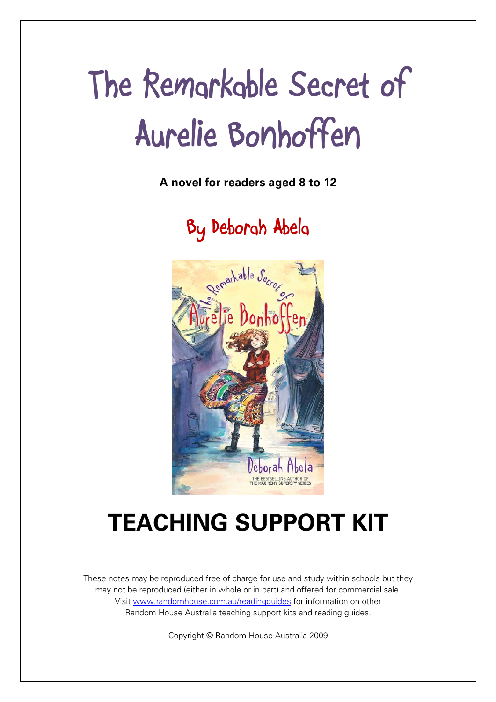# **The Remarkable Secret of Aurelie Bonhoffen**

**A novel for readers aged 8 to 12** 

**By Deborah Abela** 



## **TEACHING SUPPORT KIT**

These notes may be reproduced free of charge for use and study within schools but they may not be reproduced (either in whole or in part) and offered for commercial sale. Visit www.randomhouse.com.au/readingguides for information on other Random House Australia teaching support kits and reading guides.

Copyright © Random House Australia 2009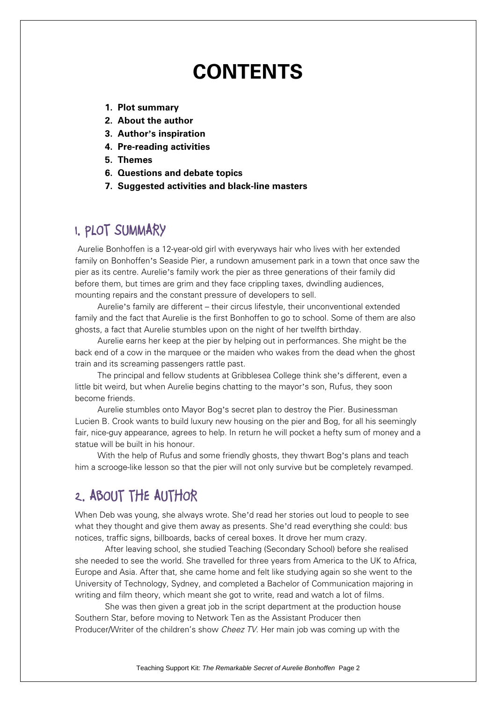## **CONTENTS**

- **1. Plot summary**
- **2. About the author**
- **3. Author's inspiration**
- **4. Pre-reading activities**
- **5. Themes**
- **6. Questions and debate topics**
- **7. Suggested activities and black-line masters**

### **1. PLOT SUMMARY**

Aurelie Bonhoffen is a 12-year-old girl with everyways hair who lives with her extended family on Bonhoffen's Seaside Pier, a rundown amusement park in a town that once saw the pier as its centre. Aurelie's family work the pier as three generations of their family did before them, but times are grim and they face crippling taxes, dwindling audiences, mounting repairs and the constant pressure of developers to sell.

Aurelie's family are different – their circus lifestyle, their unconventional extended family and the fact that Aurelie is the first Bonhoffen to go to school. Some of them are also ghosts, a fact that Aurelie stumbles upon on the night of her twelfth birthday.

Aurelie earns her keep at the pier by helping out in performances. She might be the back end of a cow in the marquee or the maiden who wakes from the dead when the ghost train and its screaming passengers rattle past.

The principal and fellow students at Gribblesea College think she's different, even a little bit weird, but when Aurelie begins chatting to the mayor's son, Rufus, they soon become friends.

Aurelie stumbles onto Mayor Bog's secret plan to destroy the Pier. Businessman Lucien B. Crook wants to build luxury new housing on the pier and Bog, for all his seemingly fair, nice-guy appearance, agrees to help. In return he will pocket a hefty sum of money and a statue will be built in his honour.

With the help of Rufus and some friendly ghosts, they thwart Bog's plans and teach him a scrooge-like lesson so that the pier will not only survive but be completely revamped.

## **2. ABOUT THE AUTHOR**

When Deb was young, she always wrote. She'd read her stories out loud to people to see what they thought and give them away as presents. She'd read everything she could: bus notices, traffic signs, billboards, backs of cereal boxes. It drove her mum crazy.

 After leaving school, she studied Teaching (Secondary School) before she realised she needed to see the world. She travelled for three years from America to the UK to Africa, Europe and Asia. After that, she came home and felt like studying again so she went to the University of Technology, Sydney, and completed a Bachelor of Communication majoring in writing and film theory, which meant she got to write, read and watch a lot of films.

 She was then given a great job in the script department at the production house Southern Star, before moving to Network Ten as the Assistant Producer then Producer/Writer of the children's show *Cheez TV*. Her main job was coming up with the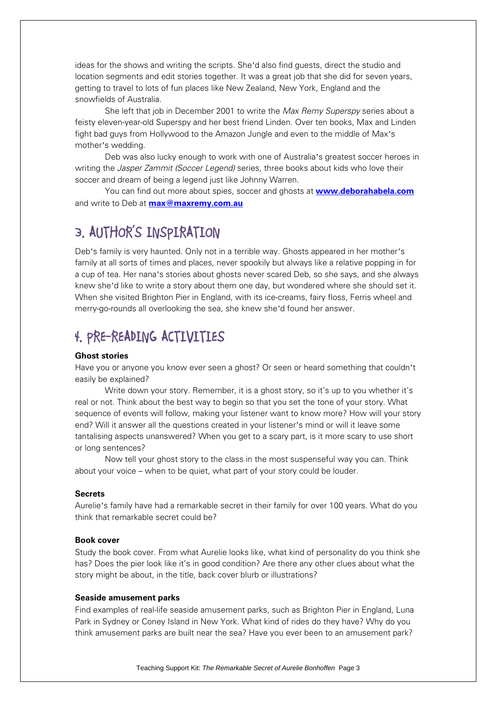ideas for the shows and writing the scripts. She'd also find guests, direct the studio and location segments and edit stories together. It was a great job that she did for seven years, getting to travel to lots of fun places like New Zealand, New York, England and the snowfields of Australia.

 She left that job in December 2001 to write the *Max Remy Superspy* series about a feisty eleven-year-old Superspy and her best friend Linden. Over ten books, Max and Linden fight bad guys from Hollywood to the Amazon Jungle and even to the middle of Max's mother's wedding.

 Deb was also lucky enough to work with one of Australia's greatest soccer heroes in writing the *Jasper Zammit (Soccer Legend)* series, three books about kids who love their soccer and dream of being a legend just like Johnny Warren.

You can find out more about spies, soccer and ghosts at **www.deborahabela.com** and write to Deb at **max@maxremy.com.au**

## **3. AUTHOR'S INSPIRATION**

Deb's family is very haunted. Only not in a terrible way. Ghosts appeared in her mother's family at all sorts of times and places, never spookily but always like a relative popping in for a cup of tea. Her nana's stories about ghosts never scared Deb, so she says, and she always knew she'd like to write a story about them one day, but wondered where she should set it. When she visited Brighton Pier in England, with its ice-creams, fairy floss, Ferris wheel and merry-go-rounds all overlooking the sea, she knew she'd found her answer.

## **4. PRE-READING ACTIVITIES**

#### **Ghost stories**

Have you or anyone you know ever seen a ghost? Or seen or heard something that couldn't easily be explained?

 Write down your story. Remember, it is a ghost story, so it's up to you whether it's real or not. Think about the best way to begin so that you set the tone of your story. What sequence of events will follow, making your listener want to know more? How will your story end? Will it answer all the questions created in your listener's mind or will it leave some tantalising aspects unanswered? When you get to a scary part, is it more scary to use short or long sentences?

Now tell your ghost story to the class in the most suspenseful way you can. Think about your voice – when to be quiet, what part of your story could be louder.

#### **Secrets**

Aurelie's family have had a remarkable secret in their family for over 100 years. What do you think that remarkable secret could be?

#### **Book cover**

Study the book cover. From what Aurelie looks like, what kind of personality do you think she has? Does the pier look like it's in good condition? Are there any other clues about what the story might be about, in the title, back cover blurb or illustrations?

#### **Seaside amusement parks**

Find examples of real-life seaside amusement parks, such as Brighton Pier in England, Luna Park in Sydney or Coney Island in New York. What kind of rides do they have? Why do you think amusement parks are built near the sea? Have you ever been to an amusement park?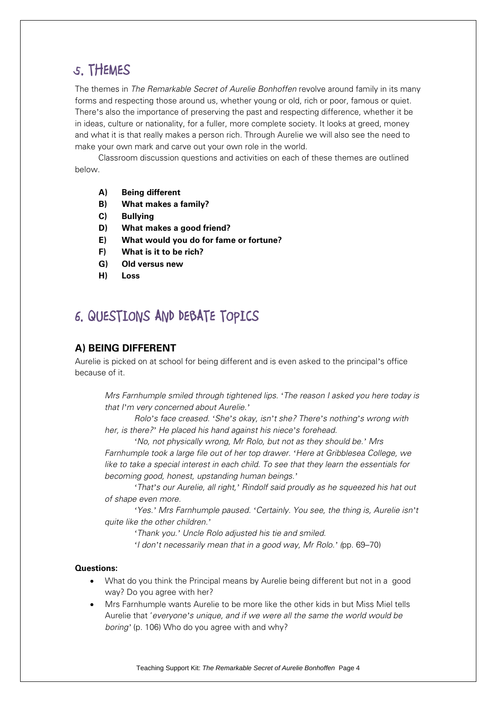## **5. THEMES**

The themes in *The Remarkable Secret of Aurelie Bonhoffen* revolve around family in its many forms and respecting those around us, whether young or old, rich or poor, famous or quiet. There's also the importance of preserving the past and respecting difference, whether it be in ideas, culture or nationality, for a fuller, more complete society. It looks at greed, money and what it is that really makes a person rich. Through Aurelie we will also see the need to make your own mark and carve out your own role in the world.

 Classroom discussion questions and activities on each of these themes are outlined below.

- **A) Being different**
- **B) What makes a family?**
- **C) Bullying**
- **D) What makes a good friend?**
- **E) What would you do for fame or fortune?**
- **F) What is it to be rich?**
- **G) Old versus new**
- **H) Loss**

## **6. QUESTIONS AND DEBATE TOPICS**

#### **A) BEING DIFFERENT**

Aurelie is picked on at school for being different and is even asked to the principal's office because of it.

*Mrs Farnhumple smiled through tightened lips. 'The reason I asked you here today is that I'm very concerned about Aurelie.'*

*Rolo's face creased. 'She's okay, isn't she? There's nothing's wrong with her, is there?' He placed his hand against his niece's forehead.* 

*'No, not physically wrong, Mr Rolo, but not as they should be.' Mrs Farnhumple took a large file out of her top drawer. 'Here at Gribblesea College, we like to take a special interest in each child. To see that they learn the essentials for becoming good, honest, upstanding human beings.'*

*'That's our Aurelie, all right,' Rindolf said proudly as he squeezed his hat out of shape even more.* 

*'Yes.' Mrs Farnhumple paused. 'Certainly. You see, the thing is, Aurelie isn't quite like the other children.'* 

*'Thank you.' Uncle Rolo adjusted his tie and smiled.* 

*'I don't necessarily mean that in a good way, Mr Rolo.' (*pp. 69–70)

#### **Questions:**

- What do you think the Principal means by Aurelie being different but not in a good way? Do you agree with her?
- Mrs Farnhumple wants Aurelie to be more like the other kids in but Miss Miel tells Aurelie that '*everyone's unique, and if we were all the same the world would be boring'* (p. 106) Who do you agree with and why?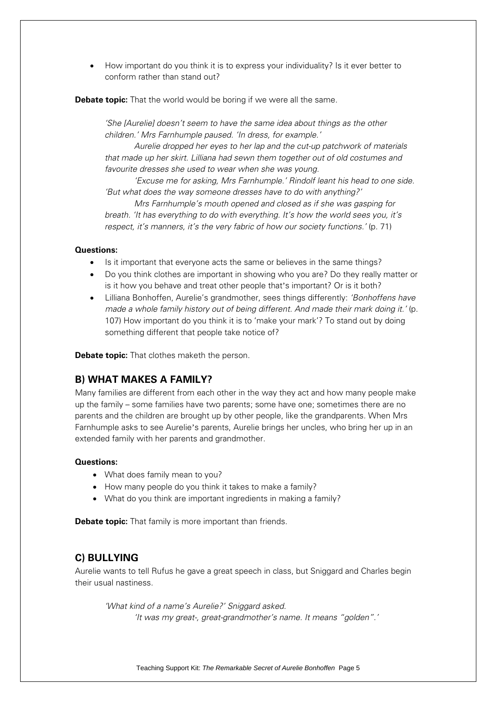How important do you think it is to express your individuality? Is it ever better to conform rather than stand out?

**Debate topic:** That the world would be boring if we were all the same.

*'She [Aurelie] doesn't seem to have the same idea about things as the other children.' Mrs Farnhumple paused. 'In dress, for example.'* 

*Aurelie dropped her eyes to her lap and the cut-up patchwork of materials that made up her skirt. Lilliana had sewn them together out of old costumes and favourite dresses she used to wear when she was young.* 

*'Excuse me for asking, Mrs Farnhumple.' Rindolf leant his head to one side. 'But what does the way someone dresses have to do with anything?'* 

*Mrs Farnhumple's mouth opened and closed as if she was gasping for breath. 'It has everything to do with everything. It's how the world sees you, it's respect, it's manners, it's the very fabric of how our society functions.'* (p. 71)

#### **Questions:**

- Is it important that everyone acts the same or believes in the same things?
- Do you think clothes are important in showing who you are? Do they really matter or is it how you behave and treat other people that's important? Or is it both?
- Lilliana Bonhoffen, Aurelie's grandmother, sees things differently: *'Bonhoffens have made a whole family history out of being different. And made their mark doing it.'* (p. 107) How important do you think it is to 'make your mark'? To stand out by doing something different that people take notice of?

**Debate topic:** That clothes maketh the person.

#### **B) WHAT MAKES A FAMILY?**

Many families are different from each other in the way they act and how many people make up the family – some families have two parents; some have one; sometimes there are no parents and the children are brought up by other people, like the grandparents. When Mrs Farnhumple asks to see Aurelie's parents, Aurelie brings her uncles, who bring her up in an extended family with her parents and grandmother.

#### **Questions:**

- What does family mean to you?
- How many people do you think it takes to make a family?
- What do you think are important ingredients in making a family?

**Debate topic:** That family is more important than friends.

#### **C) BULLYING**

Aurelie wants to tell Rufus he gave a great speech in class, but Sniggard and Charles begin their usual nastiness.

*'What kind of a name's Aurelie?' Sniggard asked. 'It was my great-, great-grandmother's name. It means "golden".'*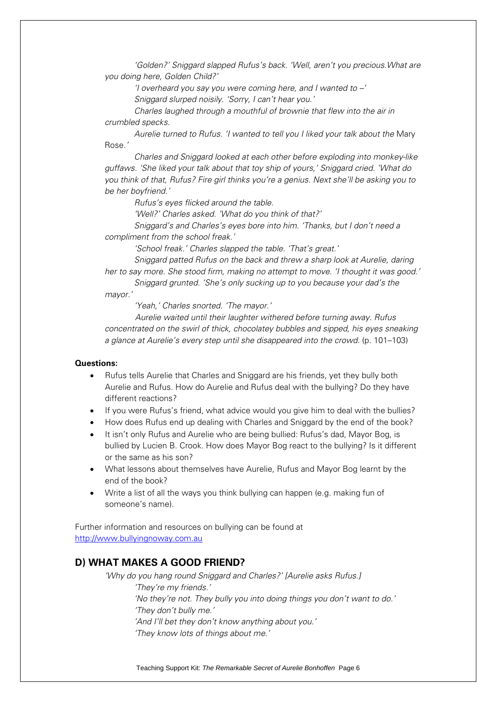*'Golden?' Sniggard slapped Rufus's back. 'Well, aren't you precious.What are you doing here, Golden Child?'* 

*'I overheard you say you were coming here, and I wanted to –'* 

*Sniggard slurped noisily. 'Sorry, I can't hear you.'* 

*Charles laughed through a mouthful of brownie that flew into the air in crumbled specks.* 

*Aurelie turned to Rufus. 'I wanted to tell you I liked your talk about the* Mary Rose*.'* 

*Charles and Sniggard looked at each other before exploding into monkey-like guffaws. 'She liked your talk about that toy ship of yours,' Sniggard cried. 'What do you think of that, Rufus? Fire girl thinks you're a genius. Next she'll be asking you to be her boyfriend.'* 

*Rufus's eyes flicked around the table.* 

*'Well?' Charles asked. 'What do you think of that?'* 

*Sniggard's and Charles's eyes bore into him. 'Thanks, but I don't need a compliment from the school freak.'* 

*'School freak.' Charles slapped the table. 'That's great.'* 

*Sniggard patted Rufus on the back and threw a sharp look at Aurelie, daring her to say more. She stood firm, making no attempt to move. 'I thought it was good.'* 

*Sniggard grunted. 'She's only sucking up to you because your dad's the mayor.'* 

*'Yeah,' Charles snorted. 'The mayor.'* 

 *Aurelie waited until their laughter withered before turning away. Rufus concentrated on the swirl of thick, chocolatey bubbles and sipped, his eyes sneaking a glance at Aurelie's every step until she disappeared into the crowd.* (p. 101–103)

#### **Questions:**

- Rufus tells Aurelie that Charles and Sniggard are his friends, yet they bully both Aurelie and Rufus. How do Aurelie and Rufus deal with the bullying? Do they have different reactions?
- If you were Rufus's friend, what advice would you give him to deal with the bullies?
- How does Rufus end up dealing with Charles and Sniggard by the end of the book?
- It isn't only Rufus and Aurelie who are being bullied: Rufus's dad, Mayor Bog, is bullied by Lucien B. Crook. How does Mayor Bog react to the bullying? Is it different or the same as his son?
- What lessons about themselves have Aurelie, Rufus and Mayor Bog learnt by the end of the book?
- Write a list of all the ways you think bullying can happen (e.g. making fun of someone's name).

Further information and resources on bullying can be found at http://www.bullyingnoway.com.au

#### **D) WHAT MAKES A GOOD FRIEND?**

*'Why do you hang round Sniggard and Charles?' [Aurelie asks Rufus.] 'They're my friends.' 'No they're not. They bully you into doing things you don't want to do.' 'They don't bully me.' 'And I'll bet they don't know anything about you.' 'They know lots of things about me.'*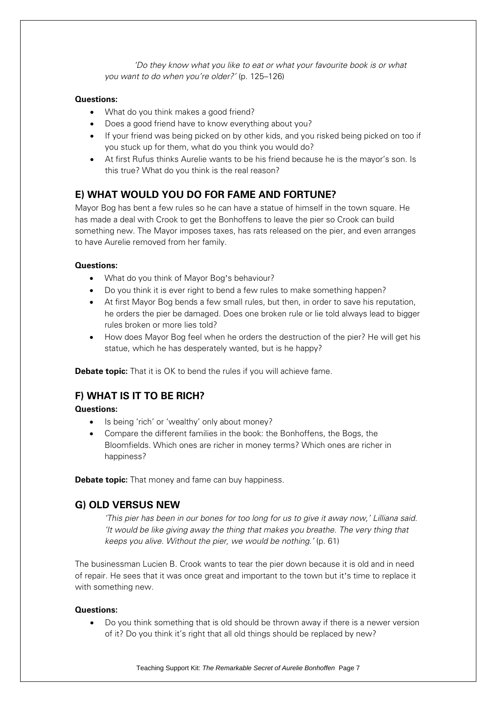*'Do they know what you like to eat or what your favourite book is or what you want to do when you're older?'* (p. 125–126)

#### **Questions:**

- What do you think makes a good friend?
- Does a good friend have to know everything about you?
- If your friend was being picked on by other kids, and you risked being picked on too if you stuck up for them, what do you think you would do?
- At first Rufus thinks Aurelie wants to be his friend because he is the mayor's son. Is this true? What do you think is the real reason?

#### **E) WHAT WOULD YOU DO FOR FAME AND FORTUNE?**

Mayor Bog has bent a few rules so he can have a statue of himself in the town square. He has made a deal with Crook to get the Bonhoffens to leave the pier so Crook can build something new. The Mayor imposes taxes, has rats released on the pier, and even arranges to have Aurelie removed from her family.

#### **Questions:**

- What do you think of Mayor Bog's behaviour?
- Do you think it is ever right to bend a few rules to make something happen?
- At first Mayor Bog bends a few small rules, but then, in order to save his reputation, he orders the pier be damaged. Does one broken rule or lie told always lead to bigger rules broken or more lies told?
- How does Mayor Bog feel when he orders the destruction of the pier? He will get his statue, which he has desperately wanted, but is he happy?

**Debate topic:** That it is OK to bend the rules if you will achieve fame.

#### **F) WHAT IS IT TO BE RICH?**

**Questions:**

- Is being 'rich' or 'wealthy' only about money?
- Compare the different families in the book: the Bonhoffens, the Bogs, the Bloomfields. Which ones are richer in money terms? Which ones are richer in happiness?

**Debate topic:** That money and fame can buy happiness.

#### **G) OLD VERSUS NEW**

*'This pier has been in our bones for too long for us to give it away now,' Lilliana said. 'It would be like giving away the thing that makes you breathe. The very thing that keeps you alive. Without the pier, we would be nothing.'* (p. 61)

The businessman Lucien B. Crook wants to tear the pier down because it is old and in need of repair. He sees that it was once great and important to the town but it's time to replace it with something new.

#### **Questions:**

 Do you think something that is old should be thrown away if there is a newer version of it? Do you think it's right that all old things should be replaced by new?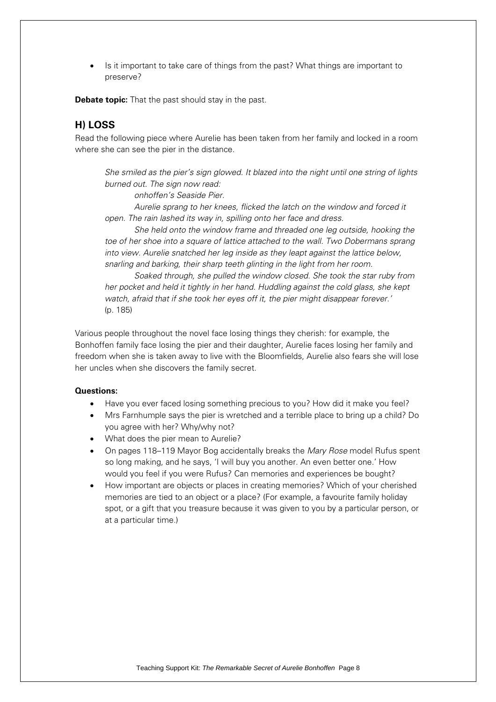Is it important to take care of things from the past? What things are important to preserve?

**Debate topic:** That the past should stay in the past.

#### **H) LOSS**

Read the following piece where Aurelie has been taken from her family and locked in a room where she can see the pier in the distance.

*She smiled as the pier's sign glowed. It blazed into the night until one string of lights burned out. The sign now read:* 

*onhoffen's Seaside Pier.* 

*Aurelie sprang to her knees, flicked the latch on the window and forced it open. The rain lashed its way in, spilling onto her face and dress.* 

*She held onto the window frame and threaded one leg outside, hooking the toe of her shoe into a square of lattice attached to the wall. Two Dobermans sprang into view. Aurelie snatched her leg inside as they leapt against the lattice below, snarling and barking, their sharp teeth glinting in the light from her room.* 

*Soaked through, she pulled the window closed. She took the star ruby from her pocket and held it tightly in her hand. Huddling against the cold glass, she kept watch, afraid that if she took her eyes off it, the pier might disappear forever.'*  (p. 185)

Various people throughout the novel face losing things they cherish: for example, the Bonhoffen family face losing the pier and their daughter, Aurelie faces losing her family and freedom when she is taken away to live with the Bloomfields, Aurelie also fears she will lose her uncles when she discovers the family secret.

#### **Questions:**

- Have you ever faced losing something precious to you? How did it make you feel?
- Mrs Farnhumple says the pier is wretched and a terrible place to bring up a child? Do you agree with her? Why/why not?
- What does the pier mean to Aurelie?
- On pages 118–119 Mayor Bog accidentally breaks the *Mary Rose* model Rufus spent so long making, and he says, 'I will buy you another. An even better one.' How would you feel if you were Rufus? Can memories and experiences be bought?
- How important are objects or places in creating memories? Which of your cherished memories are tied to an object or a place? (For example, a favourite family holiday spot, or a gift that you treasure because it was given to you by a particular person, or at a particular time.)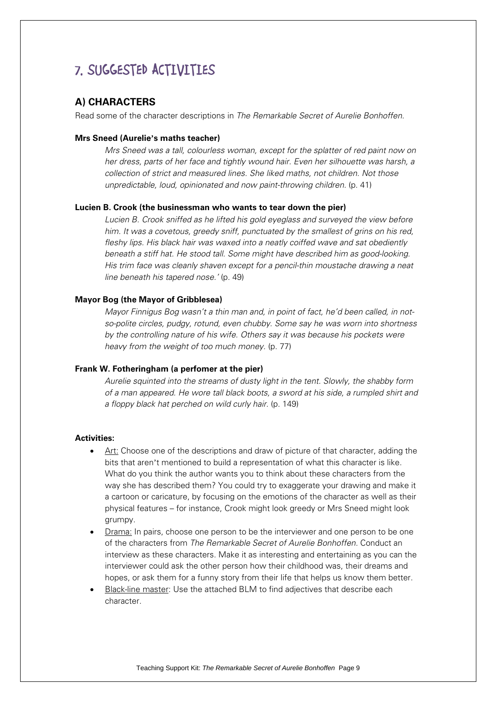## **7. SUGGESTED ACTIVITIES**

#### **A) CHARACTERS**

Read some of the character descriptions in *The Remarkable Secret of Aurelie Bonhoffen.* 

#### **Mrs Sneed (Aurelie's maths teacher)**

*Mrs Sneed was a tall, colourless woman, except for the splatter of red paint now on her dress, parts of her face and tightly wound hair. Even her silhouette was harsh, a collection of strict and measured lines. She liked maths, not children. Not those unpredictable, loud, opinionated and now paint-throwing children.* (p. 41)

#### **Lucien B. Crook (the businessman who wants to tear down the pier)**

*Lucien B. Crook sniffed as he lifted his gold eyeglass and surveyed the view before him. It was a covetous, greedy sniff, punctuated by the smallest of grins on his red, fleshy lips. His black hair was waxed into a neatly coiffed wave and sat obediently beneath a stiff hat. He stood tall. Some might have described him as good-looking. His trim face was cleanly shaven except for a pencil-thin moustache drawing a neat line beneath his tapered nose.'* (p. 49)

#### **Mayor Bog (the Mayor of Gribblesea)**

*Mayor Finnigus Bog wasn't a thin man and, in point of fact, he'd been called, in notso-polite circles, pudgy, rotund, even chubby. Some say he was worn into shortness by the controlling nature of his wife. Others say it was because his pockets were heavy from the weight of too much money.* (p. 77)

#### **Frank W. Fotheringham (a perfomer at the pier)**

*Aurelie squinted into the streams of dusty light in the tent. Slowly, the shabby form of a man appeared. He wore tall black boots, a sword at his side, a rumpled shirt and a floppy black hat perched on wild curly hair.* (p. 149)

#### **Activities:**

- Art: Choose one of the descriptions and draw of picture of that character, adding the bits that aren't mentioned to build a representation of what this character is like. What do you think the author wants you to think about these characters from the way she has described them? You could try to exaggerate your drawing and make it a cartoon or caricature, by focusing on the emotions of the character as well as their physical features – for instance, Crook might look greedy or Mrs Sneed might look grumpy.
- Drama: In pairs, choose one person to be the interviewer and one person to be one of the characters from *The Remarkable Secret of Aurelie Bonhoffen.* Conduct an interview as these characters. Make it as interesting and entertaining as you can the interviewer could ask the other person how their childhood was, their dreams and hopes, or ask them for a funny story from their life that helps us know them better.
- Black-line master: Use the attached BLM to find adjectives that describe each character.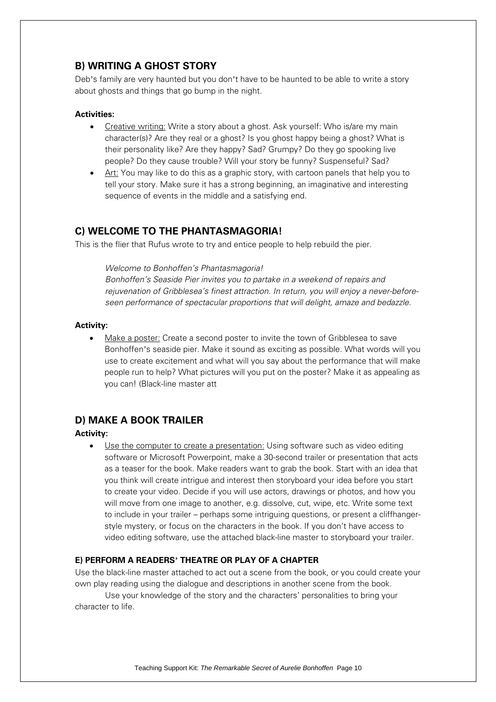#### **B) WRITING A GHOST STORY**

Deb's family are very haunted but you don't have to be haunted to be able to write a story about ghosts and things that go bump in the night.

#### **Activities:**

- Creative writing: Write a story about a ghost. Ask yourself: Who is/are my main character(s)? Are they real or a ghost? Is you ghost happy being a ghost? What is their personality like? Are they happy? Sad? Grumpy? Do they go spooking live people? Do they cause trouble? Will your story be funny? Suspenseful? Sad?
- Art: You may like to do this as a graphic story, with cartoon panels that help you to tell your story. Make sure it has a strong beginning, an imaginative and interesting sequence of events in the middle and a satisfying end.

#### **C) WELCOME TO THE PHANTASMAGORIA!**

This is the flier that Rufus wrote to try and entice people to help rebuild the pier.

*Welcome to Bonhoffen's Phantasmagoria!* 

*Bonhoffen's Seaside Pier invites you to partake in a weekend of repairs and rejuvenation of Gribblesea's finest attraction. In return, you will enjoy a never-beforeseen performance of spectacular proportions that will delight, amaze and bedazzle.*

#### **Activity:**

 Make a poster: Create a second poster to invite the town of Gribblesea to save Bonhoffen's seaside pier. Make it sound as exciting as possible. What words will you use to create excitement and what will you say about the performance that will make people run to help? What pictures will you put on the poster? Make it as appealing as you can! (Black-line master att

#### **D) MAKE A BOOK TRAILER**

#### **Activity:**

 Use the computer to create a presentation: Using software such as video editing software or Microsoft Powerpoint, make a 30-second trailer or presentation that acts as a teaser for the book. Make readers want to grab the book. Start with an idea that you think will create intrigue and interest then storyboard your idea before you start to create your video. Decide if you will use actors, drawings or photos, and how you will move from one image to another, e.g. dissolve, cut, wipe, etc. Write some text to include in your trailer – perhaps some intriguing questions, or present a cliffhangerstyle mystery, or focus on the characters in the book. If you don't have access to video editing software, use the attached black-line master to storyboard your trailer.

#### **E) PERFORM A READERS' THEATRE OR PLAY OF A CHAPTER**

Use the black-line master attached to act out a scene from the book, or you could create your own play reading using the dialogue and descriptions in another scene from the book.

 Use your knowledge of the story and the characters' personalities to bring your character to life.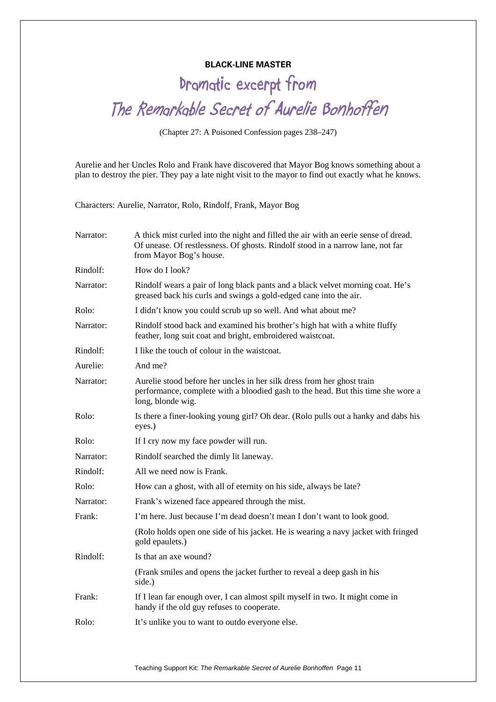#### **BLACK-LINE MASTER**

**Dramatic excerpt from The Remarkable Secret of Aurelie Bonhoffen** 

(Chapter 27: A Poisoned Confession pages 238–247)

Aurelie and her Uncles Rolo and Frank have discovered that Mayor Bog knows something about a plan to destroy the pier. They pay a late night visit to the mayor to find out exactly what he knows.

Characters: Aurelie, Narrator, Rolo, Rindolf, Frank, Mayor Bog

| Narrator: | A thick mist curled into the night and filled the air with an eerie sense of dread.<br>Of unease. Of restlessness. Of ghosts. Rindolf stood in a narrow lane, not far<br>from Mayor Bog's house. |  |
|-----------|--------------------------------------------------------------------------------------------------------------------------------------------------------------------------------------------------|--|
| Rindolf:  | How do I look?                                                                                                                                                                                   |  |
| Narrator: | Rindolf wears a pair of long black pants and a black velvet morning coat. He's<br>greased back his curls and swings a gold-edged cane into the air.                                              |  |
| Rolo:     | I didn't know you could scrub up so well. And what about me?                                                                                                                                     |  |
| Narrator: | Rindolf stood back and examined his brother's high hat with a white fluffy<br>feather, long suit coat and bright, embroidered waistcoat.                                                         |  |
| Rindolf:  | I like the touch of colour in the waistcoat.                                                                                                                                                     |  |
| Aurelie:  | And me?                                                                                                                                                                                          |  |
| Narrator: | Aurelie stood before her uncles in her silk dress from her ghost train<br>performance, complete with a bloodied gash to the head. But this time she wore a<br>long, blonde wig.                  |  |
| Rolo:     | Is there a finer-looking young girl? Oh dear. (Rolo pulls out a hanky and dabs his<br>eyes.)                                                                                                     |  |
| Rolo:     | If I cry now my face powder will run.                                                                                                                                                            |  |
| Narrator: | Rindolf searched the dimly lit laneway.                                                                                                                                                          |  |
| Rindolf:  | All we need now is Frank.                                                                                                                                                                        |  |
| Rolo:     | How can a ghost, with all of eternity on his side, always be late?                                                                                                                               |  |
| Narrator: | Frank's wizened face appeared through the mist.                                                                                                                                                  |  |
| Frank:    | I'm here. Just because I'm dead doesn't mean I don't want to look good.                                                                                                                          |  |
|           | (Rolo holds open one side of his jacket. He is wearing a navy jacket with fringed<br>gold epaulets.)                                                                                             |  |
| Rindolf:  | Is that an axe wound?                                                                                                                                                                            |  |
|           | (Frank smiles and opens the jacket further to reveal a deep gash in his<br>side.)                                                                                                                |  |
| Frank:    | If I lean far enough over, I can almost spilt myself in two. It might come in<br>handy if the old guy refuses to cooperate.                                                                      |  |
| Rolo:     | It's unlike you to want to outdo everyone else.                                                                                                                                                  |  |
|           |                                                                                                                                                                                                  |  |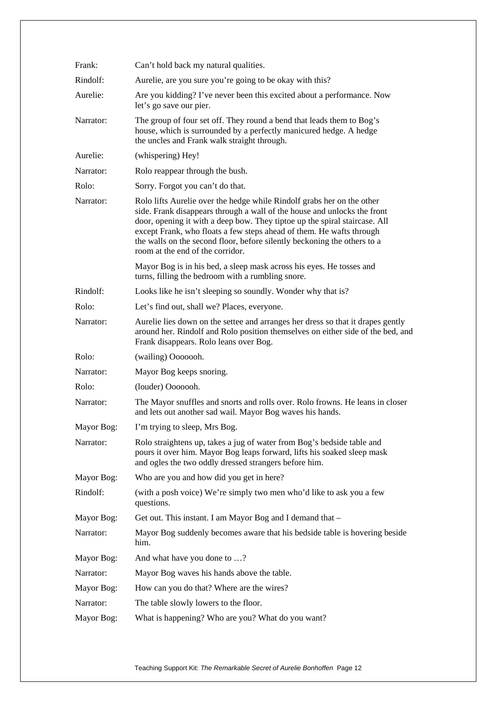| Frank:     | Can't hold back my natural qualities.                                                                                                                                                                                                                                                                                                                                                                                    |  |  |
|------------|--------------------------------------------------------------------------------------------------------------------------------------------------------------------------------------------------------------------------------------------------------------------------------------------------------------------------------------------------------------------------------------------------------------------------|--|--|
| Rindolf:   | Aurelie, are you sure you're going to be okay with this?                                                                                                                                                                                                                                                                                                                                                                 |  |  |
| Aurelie:   | Are you kidding? I've never been this excited about a performance. Now<br>let's go save our pier.                                                                                                                                                                                                                                                                                                                        |  |  |
| Narrator:  | The group of four set off. They round a bend that leads them to Bog's<br>house, which is surrounded by a perfectly manicured hedge. A hedge<br>the uncles and Frank walk straight through.                                                                                                                                                                                                                               |  |  |
| Aurelie:   | (whispering) Hey!                                                                                                                                                                                                                                                                                                                                                                                                        |  |  |
| Narrator:  | Rolo reappear through the bush.                                                                                                                                                                                                                                                                                                                                                                                          |  |  |
| Rolo:      | Sorry. Forgot you can't do that.                                                                                                                                                                                                                                                                                                                                                                                         |  |  |
| Narrator:  | Rolo lifts Aurelie over the hedge while Rindolf grabs her on the other<br>side. Frank disappears through a wall of the house and unlocks the front<br>door, opening it with a deep bow. They tiptoe up the spiral staircase. All<br>except Frank, who floats a few steps ahead of them. He wafts through<br>the walls on the second floor, before silently beckoning the others to a<br>room at the end of the corridor. |  |  |
|            | Mayor Bog is in his bed, a sleep mask across his eyes. He tosses and<br>turns, filling the bedroom with a rumbling snore.                                                                                                                                                                                                                                                                                                |  |  |
| Rindolf:   | Looks like he isn't sleeping so soundly. Wonder why that is?                                                                                                                                                                                                                                                                                                                                                             |  |  |
| Rolo:      | Let's find out, shall we? Places, everyone.                                                                                                                                                                                                                                                                                                                                                                              |  |  |
| Narrator:  | Aurelie lies down on the settee and arranges her dress so that it drapes gently<br>around her. Rindolf and Rolo position themselves on either side of the bed, and<br>Frank disappears. Rolo leans over Bog.                                                                                                                                                                                                             |  |  |
| Rolo:      | (wailing) Ooooooh.                                                                                                                                                                                                                                                                                                                                                                                                       |  |  |
| Narrator:  | Mayor Bog keeps snoring.                                                                                                                                                                                                                                                                                                                                                                                                 |  |  |
| Rolo:      | (louder) Ooooooh.                                                                                                                                                                                                                                                                                                                                                                                                        |  |  |
| Narrator:  | The Mayor snuffles and snorts and rolls over. Rolo frowns. He leans in closer<br>and lets out another sad wail. Mayor Bog waves his hands.                                                                                                                                                                                                                                                                               |  |  |
| Mayor Bog: | I'm trying to sleep, Mrs Bog.                                                                                                                                                                                                                                                                                                                                                                                            |  |  |
| Narrator:  | Rolo straightens up, takes a jug of water from Bog's bedside table and<br>pours it over him. Mayor Bog leaps forward, lifts his soaked sleep mask<br>and ogles the two oddly dressed strangers before him.                                                                                                                                                                                                               |  |  |
| Mayor Bog: | Who are you and how did you get in here?                                                                                                                                                                                                                                                                                                                                                                                 |  |  |
| Rindolf:   | (with a posh voice) We're simply two men who'd like to ask you a few<br>questions.                                                                                                                                                                                                                                                                                                                                       |  |  |
| Mayor Bog: | Get out. This instant. I am Mayor Bog and I demand that -                                                                                                                                                                                                                                                                                                                                                                |  |  |
| Narrator:  | Mayor Bog suddenly becomes aware that his bedside table is hovering beside<br>him.                                                                                                                                                                                                                                                                                                                                       |  |  |
| Mayor Bog: | And what have you done to ?                                                                                                                                                                                                                                                                                                                                                                                              |  |  |
| Narrator:  | Mayor Bog waves his hands above the table.                                                                                                                                                                                                                                                                                                                                                                               |  |  |
| Mayor Bog: | How can you do that? Where are the wires?                                                                                                                                                                                                                                                                                                                                                                                |  |  |
| Narrator:  | The table slowly lowers to the floor.                                                                                                                                                                                                                                                                                                                                                                                    |  |  |
| Mayor Bog: | What is happening? Who are you? What do you want?                                                                                                                                                                                                                                                                                                                                                                        |  |  |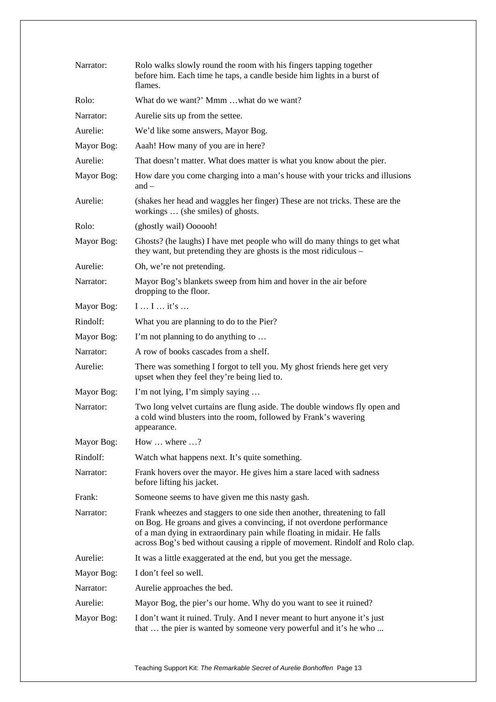| Narrator:  | Rolo walks slowly round the room with his fingers tapping together<br>before him. Each time he taps, a candle beside him lights in a burst of<br>flames.                                                                                                                                                      |  |
|------------|---------------------------------------------------------------------------------------------------------------------------------------------------------------------------------------------------------------------------------------------------------------------------------------------------------------|--|
| Rolo:      | What do we want?' Mmm what do we want?                                                                                                                                                                                                                                                                        |  |
| Narrator:  | Aurelie sits up from the settee.                                                                                                                                                                                                                                                                              |  |
| Aurelie:   | We'd like some answers, Mayor Bog.                                                                                                                                                                                                                                                                            |  |
| Mayor Bog: | Aaah! How many of you are in here?                                                                                                                                                                                                                                                                            |  |
| Aurelie:   | That doesn't matter. What does matter is what you know about the pier.                                                                                                                                                                                                                                        |  |
| Mayor Bog: | How dare you come charging into a man's house with your tricks and illusions<br>and $-$                                                                                                                                                                                                                       |  |
| Aurelie:   | (shakes her head and waggles her finger) These are not tricks. These are the<br>workings  (she smiles) of ghosts.                                                                                                                                                                                             |  |
| Rolo:      | (ghostly wail) Oooooh!                                                                                                                                                                                                                                                                                        |  |
| Mayor Bog: | Ghosts? (he laughs) I have met people who will do many things to get what<br>they want, but pretending they are ghosts is the most ridiculous -                                                                                                                                                               |  |
| Aurelie:   | Oh, we're not pretending.                                                                                                                                                                                                                                                                                     |  |
| Narrator:  | Mayor Bog's blankets sweep from him and hover in the air before<br>dropping to the floor.                                                                                                                                                                                                                     |  |
| Mayor Bog: | $I I$ it's                                                                                                                                                                                                                                                                                                    |  |
| Rindolf:   | What you are planning to do to the Pier?                                                                                                                                                                                                                                                                      |  |
| Mayor Bog: | I'm not planning to do anything to                                                                                                                                                                                                                                                                            |  |
| Narrator:  | A row of books cascades from a shelf.                                                                                                                                                                                                                                                                         |  |
| Aurelie:   | There was something I forgot to tell you. My ghost friends here get very<br>upset when they feel they're being lied to.                                                                                                                                                                                       |  |
| Mayor Bog: | I'm not lying, I'm simply saying                                                                                                                                                                                                                                                                              |  |
| Narrator:  | Two long velvet curtains are flung aside. The double windows fly open and<br>a cold wind blusters into the room, followed by Frank's wavering<br>appearance.                                                                                                                                                  |  |
| Mayor Bog: | How $\dots$ where $\dots$ ?                                                                                                                                                                                                                                                                                   |  |
| Rindolf:   | Watch what happens next. It's quite something.                                                                                                                                                                                                                                                                |  |
| Narrator:  | Frank hovers over the mayor. He gives him a stare laced with sadness<br>before lifting his jacket.                                                                                                                                                                                                            |  |
| Frank:     | Someone seems to have given me this nasty gash.                                                                                                                                                                                                                                                               |  |
| Narrator:  | Frank wheezes and staggers to one side then another, threatening to fall<br>on Bog. He groans and gives a convincing, if not overdone performance<br>of a man dying in extraordinary pain while floating in midair. He falls<br>across Bog's bed without causing a ripple of movement. Rindolf and Rolo clap. |  |
| Aurelie:   | It was a little exaggerated at the end, but you get the message.                                                                                                                                                                                                                                              |  |
| Mayor Bog: | I don't feel so well.                                                                                                                                                                                                                                                                                         |  |
| Narrator:  | Aurelie approaches the bed.                                                                                                                                                                                                                                                                                   |  |
| Aurelie:   | Mayor Bog, the pier's our home. Why do you want to see it ruined?                                                                                                                                                                                                                                             |  |
| Mayor Bog: | I don't want it ruined. Truly. And I never meant to hurt anyone it's just<br>that  the pier is wanted by someone very powerful and it's he who                                                                                                                                                                |  |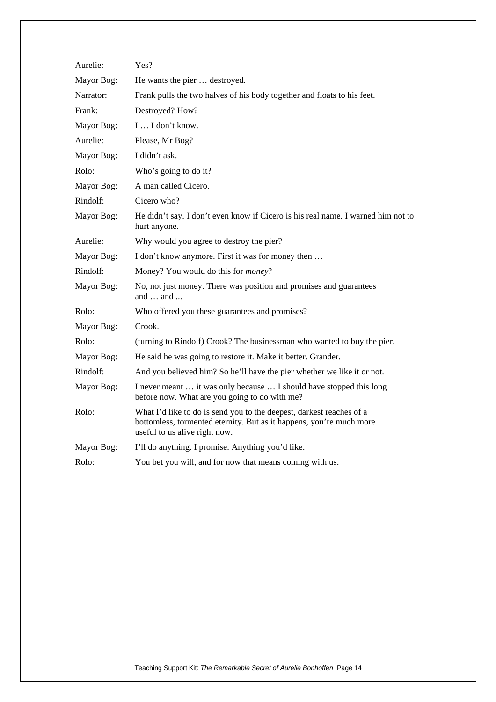| Aurelie:   | Yes?                                                                                                                                                                         |  |  |
|------------|------------------------------------------------------------------------------------------------------------------------------------------------------------------------------|--|--|
| Mayor Bog: | He wants the pier  destroyed.                                                                                                                                                |  |  |
| Narrator:  | Frank pulls the two halves of his body together and floats to his feet.                                                                                                      |  |  |
| Frank:     | Destroyed? How?                                                                                                                                                              |  |  |
| Mayor Bog: | I  I don't know.                                                                                                                                                             |  |  |
| Aurelie:   | Please, Mr Bog?                                                                                                                                                              |  |  |
| Mayor Bog: | I didn't ask.                                                                                                                                                                |  |  |
| Rolo:      | Who's going to do it?                                                                                                                                                        |  |  |
| Mayor Bog: | A man called Cicero.                                                                                                                                                         |  |  |
| Rindolf:   | Cicero who?                                                                                                                                                                  |  |  |
| Mayor Bog: | He didn't say. I don't even know if Cicero is his real name. I warned him not to<br>hurt anyone.                                                                             |  |  |
| Aurelie:   | Why would you agree to destroy the pier?                                                                                                                                     |  |  |
| Mayor Bog: | I don't know anymore. First it was for money then                                                                                                                            |  |  |
| Rindolf:   | Money? You would do this for <i>money</i> ?                                                                                                                                  |  |  |
| Mayor Bog: | No, not just money. There was position and promises and guarantees<br>and  and                                                                                               |  |  |
| Rolo:      | Who offered you these guarantees and promises?                                                                                                                               |  |  |
| Mayor Bog: | Crook.                                                                                                                                                                       |  |  |
| Rolo:      | (turning to Rindolf) Crook? The businessman who wanted to buy the pier.                                                                                                      |  |  |
| Mayor Bog: | He said he was going to restore it. Make it better. Grander.                                                                                                                 |  |  |
| Rindolf:   | And you believed him? So he'll have the pier whether we like it or not.                                                                                                      |  |  |
| Mayor Bog: | I never meant  it was only because  I should have stopped this long<br>before now. What are you going to do with me?                                                         |  |  |
| Rolo:      | What I'd like to do is send you to the deepest, darkest reaches of a<br>bottomless, tormented eternity. But as it happens, you're much more<br>useful to us alive right now. |  |  |
| Mayor Bog: | I'll do anything. I promise. Anything you'd like.                                                                                                                            |  |  |
| Rolo:      | You bet you will, and for now that means coming with us.                                                                                                                     |  |  |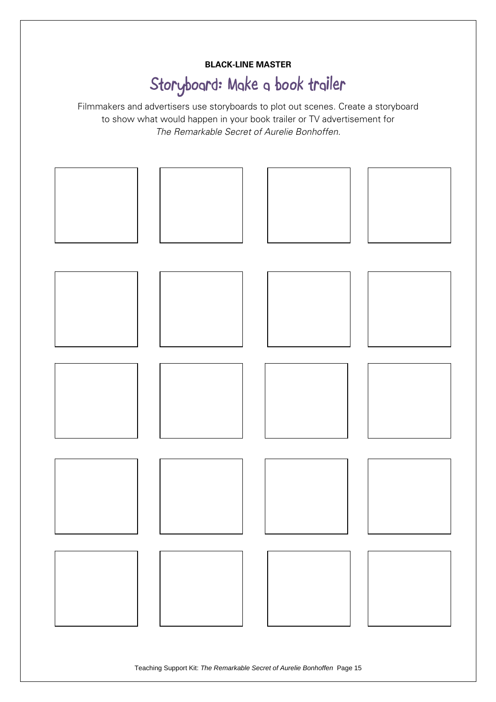#### **BLACK-LINE MASTER**

## **Storyboard: Make a book trailer**

Filmmakers and advertisers use storyboards to plot out scenes. Create a storyboard to show what would happen in your book trailer or TV advertisement for *The Remarkable Secret of Aurelie Bonhoffen*.



Teaching Support Kit: *The Remarkable Secret of Aurelie Bonhoffen* Page 15